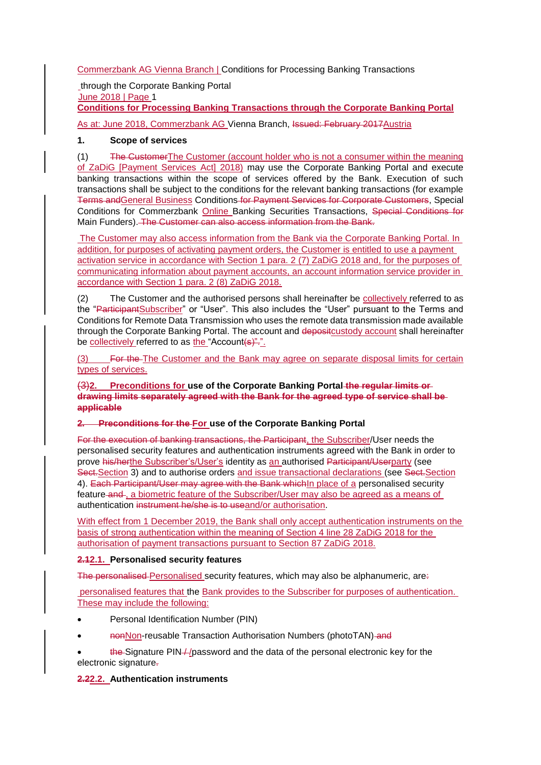Commerzbank AG Vienna Branch | Conditions for Processing Banking Transactions

through the Corporate Banking Portal June 2018 | Page 1 **Conditions for Processing Banking Transactions through the Corporate Banking Portal**

As at: June 2018, Commerzbank AG Vienna Branch, Issued: February 2017 Austria

### **1. Scope of services**

(1) The Customer The Customer (account holder who is not a consumer within the meaning of ZaDiG [Payment Services Act] 2018) may use the Corporate Banking Portal and execute banking transactions within the scope of services offered by the Bank. Execution of such transactions shall be subject to the conditions for the relevant banking transactions (for example Terms andGeneral Business Conditions for Payment Services for Corporate Customers, Special Conditions for Commerzbank Online Banking Securities Transactions, Special Conditions for Main Funders). The Customer can also access information from the Bank.

The Customer may also access information from the Bank via the Corporate Banking Portal. In addition, for purposes of activating payment orders, the Customer is entitled to use a payment activation service in accordance with Section 1 para. 2 (7) ZaDiG 2018 and, for the purposes of communicating information about payment accounts, an account information service provider in accordance with Section 1 para. 2 (8) ZaDiG 2018.

(2) The Customer and the authorised persons shall hereinafter be collectively referred to as the "ParticipantSubscriber" or "User". This also includes the "User" pursuant to the Terms and Conditions for Remote Data Transmission who uses the remote data transmission made available through the Corporate Banking Portal. The account and deposit custody account shall hereinafter be collectively referred to as the "Account(s)".".

(3) For the The Customer and the Bank may agree on separate disposal limits for certain types of services.

(3)**2. Preconditions for use of the Corporate Banking Portal the regular limits or drawing limits separately agreed with the Bank for the agreed type of service shall be applicable**

### **2. Preconditions for the For use of the Corporate Banking Portal**

For the execution of banking transactions, the Participant, the Subscriber/User needs the personalised security features and authentication instruments agreed with the Bank in order to prove his/herthe Subscriber's/User's identity as an authorised Participant/Userparty (see Sect. Section 3) and to authorise orders and issue transactional declarations (see Sect. Section 4). Each Participant/User may agree with the Bank which In place of a personalised security feature and , a biometric feature of the Subscriber/User may also be agreed as a means of authentication instrument he/she is to useand/or authorisation.

With effect from 1 December 2019, the Bank shall only accept authentication instruments on the basis of strong authentication within the meaning of Section 4 line 28 ZaDiG 2018 for the authorisation of payment transactions pursuant to Section 87 ZaDiG 2018.

### **2.12.1. Personalised security features**

The personalised Personalised security features, which may also be alphanumeric, are:

personalised features that the Bank provides to the Subscriber for purposes of authentication. These may include the following:

- Personal Identification Number (PIN)
- nonNon-reusable Transaction Authorisation Numbers (photoTAN) and

• the Signature PIN / /password and the data of the personal electronic key for the electronic signature.

# **2.22.2. Authentication instruments**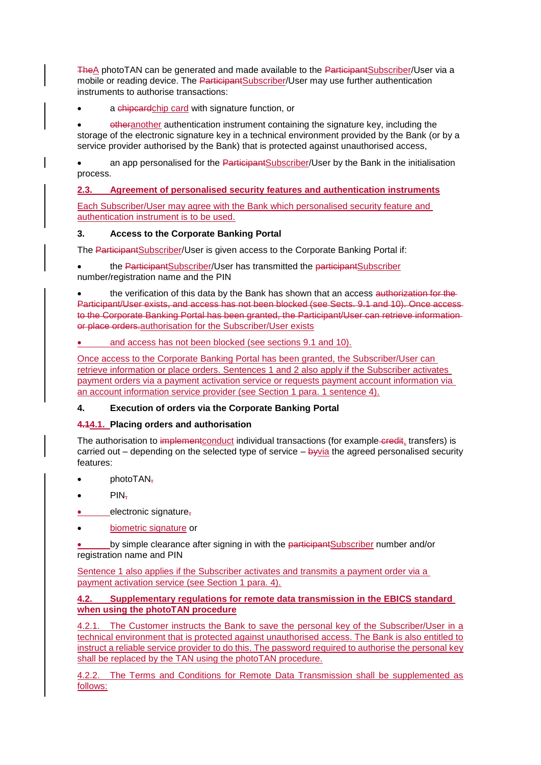TheA photoTAN can be generated and made available to the ParticipantSubscriber/User via a mobile or reading device. The ParticipantSubscriber/User may use further authentication instruments to authorise transactions:

### a chipcardchip card with signature function, or

• otheranother authentication instrument containing the signature key, including the storage of the electronic signature key in a technical environment provided by the Bank (or by a service provider authorised by the Bank) that is protected against unauthorised access,

an app personalised for the ParticipantSubscriber/User by the Bank in the initialisation process.

**2.3. Agreement of personalised security features and authentication instruments**

Each Subscriber/User may agree with the Bank which personalised security feature and authentication instrument is to be used.

## **3. Access to the Corporate Banking Portal**

The ParticipantSubscriber/User is given access to the Corporate Banking Portal if:

the ParticipantSubscriber/User has transmitted the participantSubscriber number/registration name and the PIN

the verification of this data by the Bank has shown that an access authorization for the-Participant/User exists, and access has not been blocked (see Sects. 9.1 and 10). Once access to the Corporate Banking Portal has been granted, the Participant/User can retrieve information or place orders.authorisation for the Subscriber/User exists

## • and access has not been blocked (see sections 9.1 and 10).

Once access to the Corporate Banking Portal has been granted, the Subscriber/User can retrieve information or place orders. Sentences 1 and 2 also apply if the Subscriber activates payment orders via a payment activation service or requests payment account information via an account information service provider (see Section 1 para. 1 sentence 4).

### **4. Execution of orders via the Corporate Banking Portal**

### **4.14.1. Placing orders and authorisation**

The authorisation to implementconduct individual transactions (for example-credit, transfers) is carried out – depending on the selected type of service – byvia the agreed personalised security features:

- photo $TAN_{\overline{t}}$
- $\bullet$  PIN-
- electronic signature,
- biometric signature or

by simple clearance after signing in with the participantSubscriber number and/or registration name and PIN

Sentence 1 also applies if the Subscriber activates and transmits a payment order via a payment activation service (see Section 1 para. 4).

### **4.2. Supplementary regulations for remote data transmission in the EBICS standard when using the photoTAN procedure**

4.2.1. The Customer instructs the Bank to save the personal key of the Subscriber/User in a technical environment that is protected against unauthorised access. The Bank is also entitled to instruct a reliable service provider to do this. The password required to authorise the personal key shall be replaced by the TAN using the photoTAN procedure.

4.2.2. The Terms and Conditions for Remote Data Transmission shall be supplemented as follows: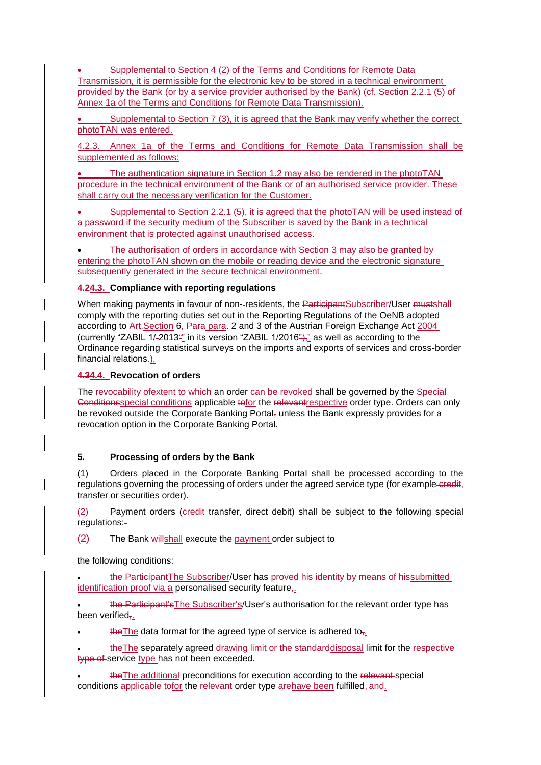Supplemental to Section 4 (2) of the Terms and Conditions for Remote Data Transmission, it is permissible for the electronic key to be stored in a technical environment provided by the Bank (or by a service provider authorised by the Bank) (cf. Section 2.2.1 (5) of Annex 1a of the Terms and Conditions for Remote Data Transmission).

• Supplemental to Section 7 (3), it is agreed that the Bank may verify whether the correct photoTAN was entered.

4.2.3. Annex 1a of the Terms and Conditions for Remote Data Transmission shall be supplemented as follows:

The authentication signature in Section 1.2 may also be rendered in the photoTAN procedure in the technical environment of the Bank or of an authorised service provider. These shall carry out the necessary verification for the Customer.

• Supplemental to Section 2.2.1 (5), it is agreed that the photoTAN will be used instead of a password if the security medium of the Subscriber is saved by the Bank in a technical environment that is protected against unauthorised access.

• The authorisation of orders in accordance with Section 3 may also be granted by entering the photoTAN shown on the mobile or reading device and the electronic signature subsequently generated in the secure technical environment.

#### **4.24.3. Compliance with reporting regulations**

When making payments in favour of non--residents, the ParticipantSubscriber/User mustshall comply with the reporting duties set out in the Reporting Regulations of the OeNB adopted according to Art. Section 6, Para para. 2 and 3 of the Austrian Foreign Exchange Act 2004 (currently "ZABIL 1/-2013"" in its version "ZABIL 1/2016")," as well as according to the Ordinance regarding statistical surveys on the imports and exports of services and cross-border financial relations-).

#### **4.34.4. Revocation of orders**

The revocability of extent to which an order can be revoked shall be governed by the Special-Conditionsspecial conditions applicable to for the relevant respective order type. Orders can only be revoked outside the Corporate Banking Portal, unless the Bank expressly provides for a revocation option in the Corporate Banking Portal.

### **5. Processing of orders by the Bank**

(1) Orders placed in the Corporate Banking Portal shall be processed according to the regulations governing the processing of orders under the agreed service type (for example-credit, transfer or securities order).

(2) Payment orders (eredit-transfer, direct debit) shall be subject to the following special regulations:

 $\left(2\right)$  The Bank willshall execute the payment order subject to-

the following conditions:

the ParticipantThe Subscriber/User has proved his identity by means of hissubmitted identification proof via a personalised security feature,.

• the Participant'sThe Subscriber's/User's authorisation for the relevant order type has been verified-..

the The data format for the agreed type of service is adhered to<sub> $\overline{z}$ </sub>.

the The separately agreed drawing limit or the standard disposal limit for the respectivetype of service type has not been exceeded.

the The additional preconditions for execution according to the relevant-special conditions applicable tofor the relevant order type arehave been fulfilled, and.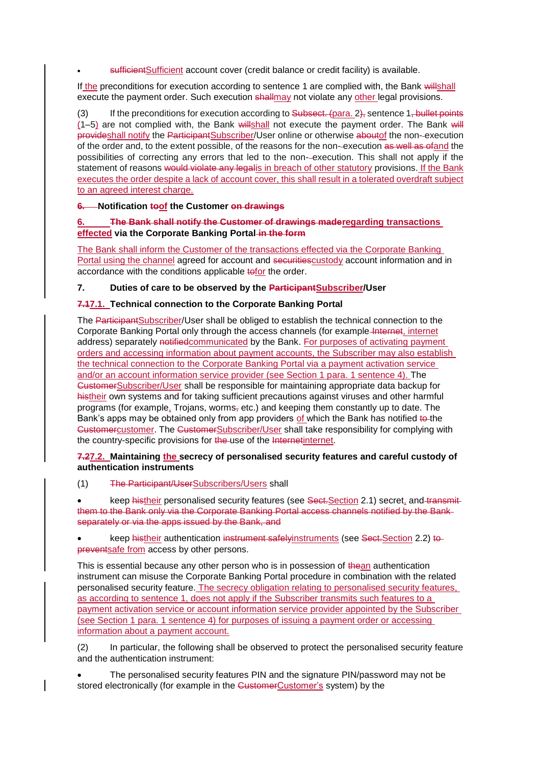sufficient Sufficient account cover (credit balance or credit facility) is available.

If the preconditions for execution according to sentence 1 are complied with, the Bank willshall execute the payment order. Such execution shallmay not violate any other legal provisions.

(3) If the preconditions for execution according to  $\frac{1}{2}$  Subsect. (para. 2), sentence 1, bullet points (1–5) are not complied with, the Bank willshall not execute the payment order. The Bank will provideshall notify the ParticipantSubscriber/User online or otherwise aboutof the non- execution of the order and, to the extent possible, of the reasons for the non-execution as well as ofand the possibilities of correcting any errors that led to the non- execution. This shall not apply if the statement of reasons would violate any legalis in breach of other statutory provisions. If the Bank executes the order despite a lack of account cover, this shall result in a tolerated overdraft subject to an agreed interest charge.

## **6. Notification toof the Customer on drawings**

## **6. The Bank shall notify the Customer of drawings maderegarding transactions effected via the Corporate Banking Portal in the form**

The Bank shall inform the Customer of the transactions effected via the Corporate Banking Portal using the channel agreed for account and securitiescustody account information and in accordance with the conditions applicable tofor the order.

## **7. Duties of care to be observed by the ParticipantSubscriber/User**

## **7.17.1. Technical connection to the Corporate Banking Portal**

The ParticipantSubscriber/User shall be obliged to establish the technical connection to the Corporate Banking Portal only through the access channels (for example-Internet, internet address) separately notifiedcommunicated by the Bank. For purposes of activating payment orders and accessing information about payment accounts, the Subscriber may also establish the technical connection to the Corporate Banking Portal via a payment activation service and/or an account information service provider (see Section 1 para. 1 sentence 4). The CustomerSubscriber/User shall be responsible for maintaining appropriate data backup for histheir own systems and for taking sufficient precautions against viruses and other harmful programs (for example, Trojans, worms,  $etc.$ ) and keeping them constantly up to date. The Bank's apps may be obtained only from app providers of which the Bank has notified to the Customercustomer. The CustomerSubscriber/User shall take responsibility for complying with the country-specific provisions for the use of the Internetinternet.

### **7.27.2. Maintaining the secrecy of personalised security features and careful custody of authentication instruments**

(1) The Participant/UserSubscribers/Users shall

keep histheir personalised security features (see Sect.Section 2.1) secret, and transmitthem to the Bank only via the Corporate Banking Portal access channels notified by the Bank separately or via the apps issued by the Bank, and

keep histheir authentication instrument safelyinstruments (see Sect. Section 2.2) to preventsafe from access by other persons.

This is essential because any other person who is in possession of thean authentication instrument can misuse the Corporate Banking Portal procedure in combination with the related personalised security feature. The secrecy obligation relating to personalised security features, as according to sentence 1, does not apply if the Subscriber transmits such features to a payment activation service or account information service provider appointed by the Subscriber (see Section 1 para. 1 sentence 4) for purposes of issuing a payment order or accessing information about a payment account.

(2) In particular, the following shall be observed to protect the personalised security feature and the authentication instrument:

• The personalised security features PIN and the signature PIN/password may not be stored electronically (for example in the CustomerCustomer's system) by the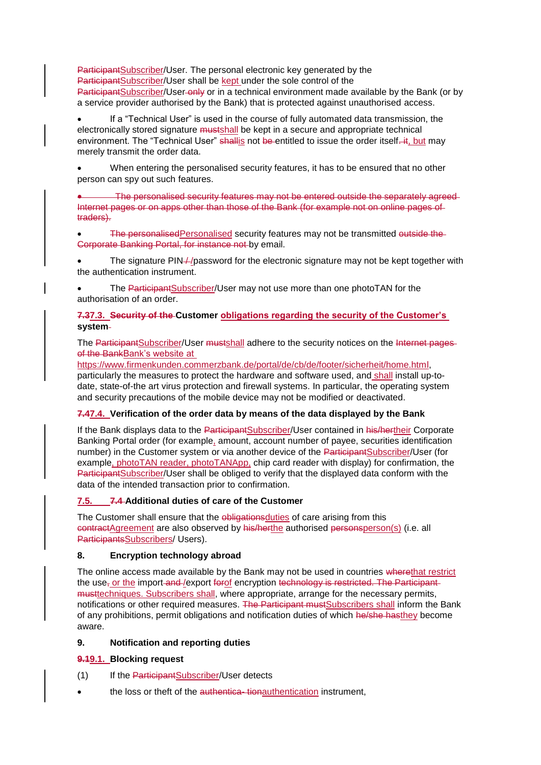ParticipantSubscriber/User. The personal electronic key generated by the ParticipantSubscriber/User shall be kept under the sole control of the ParticipantSubscriber/User-only or in a technical environment made available by the Bank (or by a service provider authorised by the Bank) that is protected against unauthorised access.

• If a "Technical User" is used in the course of fully automated data transmission, the electronically stored signature mustshall be kept in a secure and appropriate technical environment. The "Technical User" shallis not be entitled to issue the order itself. it, but may merely transmit the order data.

• When entering the personalised security features, it has to be ensured that no other person can spy out such features.

• The personalised security features may not be entered outside the separately agreed Internet pages or on apps other than those of the Bank (for example not on online pages of traders).

The personalisedPersonalised security features may not be transmitted outside the-Corporate Banking Portal, for instance not by email.

The signature PIN-//password for the electronic signature may not be kept together with the authentication instrument.

The ParticipantSubscriber/User may not use more than one photoTAN for the authorisation of an order.

### **7.37.3. Security of the Customer obligations regarding the security of the Customer's system**

The ParticipantSubscriber/User mustshall adhere to the security notices on the Internet pages of the BankBank's website at

https://www.firmenkunden.commerzbank.de/portal/de/cb/de/footer/sicherheit/home.html, particularly the measures to protect the hardware and software used, and shall install up-todate, state-of-the art virus protection and firewall systems. In particular, the operating system and security precautions of the mobile device may not be modified or deactivated.

### **7.47.4. Verification of the order data by means of the data displayed by the Bank**

If the Bank displays data to the ParticipantSubscriber/User contained in his/hertheir Corporate Banking Portal order (for example, amount, account number of payee, securities identification number) in the Customer system or via another device of the ParticipantSubscriber/User (for example, photoTAN reader, photoTANApp, chip card reader with display) for confirmation, the ParticipantSubscriber/User shall be obliged to verify that the displayed data conform with the data of the intended transaction prior to confirmation.

### **7.5. 7.4 Additional duties of care of the Customer**

The Customer shall ensure that the obligations duties of care arising from this contractAgreement are also observed by his/herthe authorised personsperson(s) (i.e. all ParticipantsSubscribers/ Users).

### **8. Encryption technology abroad**

The online access made available by the Bank may not be used in countries wherethat restrict the use<sub>r</sub> or the import-and-/export forof encryption technology is restricted. The Participantmusttechniques. Subscribers shall, where appropriate, arrange for the necessary permits, notifications or other required measures. The Participant mustSubscribers shall inform the Bank of any prohibitions, permit obligations and notification duties of which he/she hasthey become aware.

### **9. Notification and reporting duties**

# **9.19.1. Blocking request**

- (1) If the ParticipantSubscriber/User detects
- the loss or theft of the authentica-tionauthentication instrument,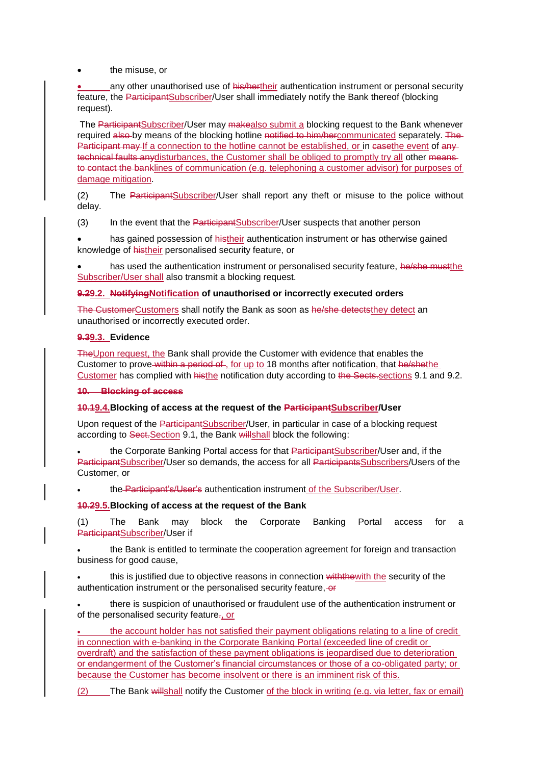the misuse, or

any other unauthorised use of his/hertheir authentication instrument or personal security feature, the <del>Participant</del>Subscriber/User shall immediately notify the Bank thereof (blocking request).

The ParticipantSubscriber/User may makealso submit a blocking request to the Bank whenever required also by means of the blocking hotline notified to him/hercommunicated separately. The Participant may If a connection to the hotline cannot be established, or in casethe event of any technical faults anydisturbances, the Customer shall be obliged to promptly try all other meansto contact the banklines of communication (e.g. telephoning a customer advisor) for purposes of damage mitigation.

(2) The ParticipantSubscriber/User shall report any theft or misuse to the police without delay.

(3) In the event that the ParticipantSubscriber/User suspects that another person

has gained possession of histheir authentication instrument or has otherwise gained knowledge of histheir personalised security feature, or

has used the authentication instrument or personalised security feature, he/she must the Subscriber/User shall also transmit a blocking request.

### **9.29.2. NotifyingNotification of unauthorised or incorrectly executed orders**

The CustomerCustomers shall notify the Bank as soon as he/she detectsthey detect an unauthorised or incorrectly executed order.

### **9.39.3. Evidence**

TheUpon request, the Bank shall provide the Customer with evidence that enables the Customer to prove within a period of , for up to 18 months after notification, that he/shethe Customer has complied with histhe notification duty according to the Sects.sections 9.1 and 9.2.

#### **10. Blocking of access**

### **10.19.4.Blocking of access at the request of the ParticipantSubscriber/User**

Upon request of the ParticipantSubscriber/User, in particular in case of a blocking request according to Sect.Section 9.1, the Bank willshall block the following:

the Corporate Banking Portal access for that ParticipantSubscriber/User and, if the ParticipantSubscriber/User so demands, the access for all ParticipantsSubscribers/Users of the Customer, or

• the Participant's/User's authentication instrument of the Subscriber/User.

### **10.29.5.Blocking of access at the request of the Bank**

(1) The Bank may block the Corporate Banking Portal access for a ParticipantSubscriber/User if

the Bank is entitled to terminate the cooperation agreement for foreign and transaction business for good cause,

this is justified due to objective reasons in connection with the with the security of the authentication instrument or the personalised security feature, or

• there is suspicion of unauthorised or fraudulent use of the authentication instrument or of the personalised security feature-, or

• the account holder has not satisfied their payment obligations relating to a line of credit in connection with e-banking in the Corporate Banking Portal (exceeded line of credit or overdraft) and the satisfaction of these payment obligations is jeopardised due to deterioration or endangerment of the Customer's financial circumstances or those of a co-obligated party; or because the Customer has become insolvent or there is an imminent risk of this.

(2) The Bank willshall notify the Customer of the block in writing (e.g. via letter, fax or email)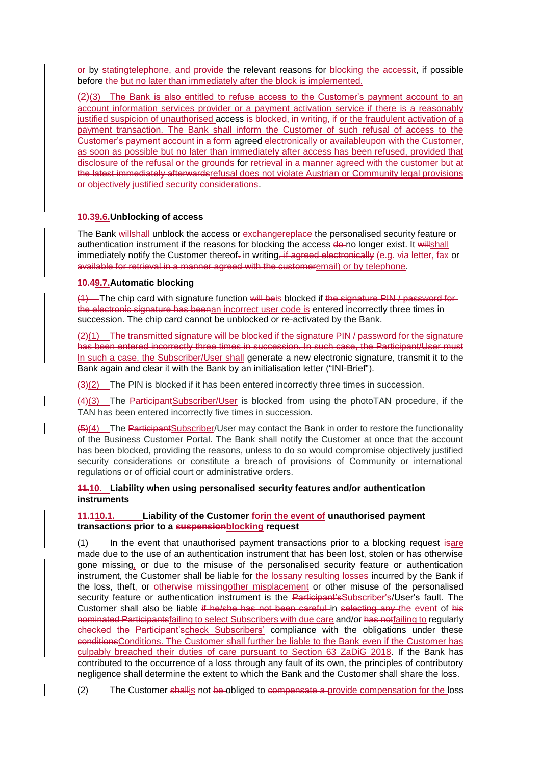or by statingtelephone, and provide the relevant reasons for blocking the accessit, if possible before the but no later than immediately after the block is implemented.

 $(2)(3)$  The Bank is also entitled to refuse access to the Customer's payment account to an account information services provider or a payment activation service if there is a reasonably justified suspicion of unauthorised access is blocked, in writing, if or the fraudulent activation of a payment transaction. The Bank shall inform the Customer of such refusal of access to the Customer's payment account in a form agreed electronically or availableupon with the Customer, as soon as possible but no later than immediately after access has been refused, provided that disclosure of the refusal or the grounds for retrieval in a manner agreed with the customer but at the latest immediately afterwardsrefusal does not violate Austrian or Community legal provisions or objectively justified security considerations.

### **10.39.6.Unblocking of access**

The Bank willshall unblock the access or exchangereplace the personalised security feature or authentication instrument if the reasons for blocking the access de-no longer exist. It willshall immediately notify the Customer thereof- in writing. if agreed electronically (e.g. via letter, fax or available for retrieval in a manner agreed with the customeremail) or by telephone.

## **10.49.7.Automatic blocking**

(1) The chip card with signature function will beis blocked if the signature PIN / password for the electronic signature has beenan incorrect user code is entered incorrectly three times in succession. The chip card cannot be unblocked or re-activated by the Bank.

 $(2)(1)$  The transmitted signature will be blocked if the signature PIN / password for the signature has been entered incorrectly three times in succession. In such case, the Participant/User must In such a case, the Subscriber/User shall generate a new electronic signature, transmit it to the Bank again and clear it with the Bank by an initialisation letter ("INI-Brief").

 $(3)(2)$  The PIN is blocked if it has been entered incorrectly three times in succession.

(4)(3) The ParticipantSubscriber/User is blocked from using the photoTAN procedure, if the TAN has been entered incorrectly five times in succession.

(5)(4) The ParticipantSubscriber/User may contact the Bank in order to restore the functionality of the Business Customer Portal. The Bank shall notify the Customer at once that the account has been blocked, providing the reasons, unless to do so would compromise objectively justified security considerations or constitute a breach of provisions of Community or international regulations or of official court or administrative orders.

### **11.10. Liability when using personalised security features and/or authentication instruments**

### **11.110.1. Liability of the Customer forin the event of unauthorised payment transactions prior to a suspensionblocking request**

(1) In the event that unauthorised payment transactions prior to a blocking request isare made due to the use of an authentication instrument that has been lost, stolen or has otherwise gone missing, or due to the misuse of the personalised security feature or authentication instrument, the Customer shall be liable for the lossany resulting losses incurred by the Bank if the loss, theft, or otherwise missing other misplacement or other misuse of the personalised security feature or authentication instrument is the Participant'sSubscriber's/User's fault. The Customer shall also be liable if he/she has not been careful in selecting any the event of his nominated Participantsfailing to select Subscribers with due care and/or has notfailing to regularly checked the Participant'scheck Subscribers' compliance with the obligations under these conditionsConditions. The Customer shall further be liable to the Bank even if the Customer has culpably breached their duties of care pursuant to Section 63 ZaDiG 2018. If the Bank has contributed to the occurrence of a loss through any fault of its own, the principles of contributory negligence shall determine the extent to which the Bank and the Customer shall share the loss.

(2) The Customer shallis not be obliged to compensate a provide compensation for the loss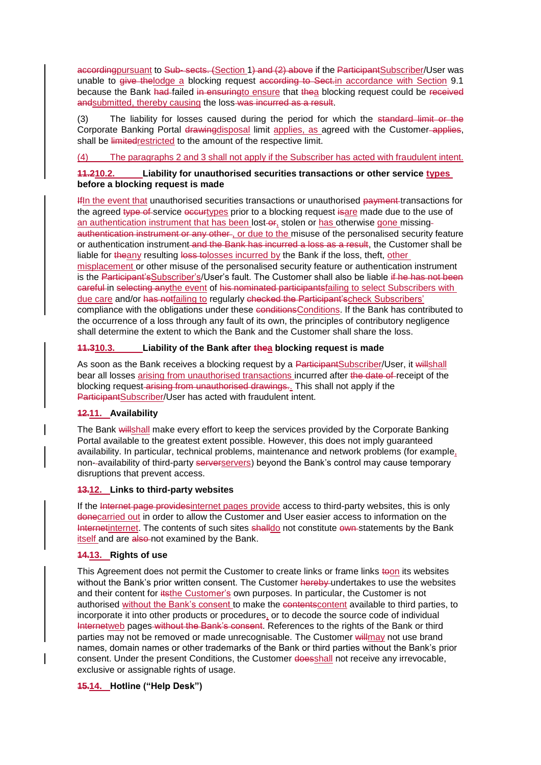accordingpursuant to Sub- sects. (Section 1) and (2) above if the ParticipantSubscriber/User was unable to give the lodge a blocking request according to Sect. in accordance with Section 9.1 because the Bank had failed in ensuringto ensure that thea blocking request could be received andsubmitted, thereby causing the loss-was incurred as a result.

(3) The liability for losses caused during the period for which the standard limit or the Corporate Banking Portal drawingdisposal limit applies, as agreed with the Customer-applies, shall be limitedrestricted to the amount of the respective limit.

### (4) The paragraphs 2 and 3 shall not apply if the Subscriber has acted with fraudulent intent.

### **11.210.2. Liability for unauthorised securities transactions or other service types before a blocking request is made**

IfIn the event that unauthorised securities transactions or unauthorised payment transactions for the agreed type of service occurtypes prior to a blocking request is are made due to the use of an authentication instrument that has been lost-or, stolen or has otherwise gone missingauthentication instrument or any other, or due to the misuse of the personalised security feature or authentication instrument and the Bank has incurred a loss as a result, the Customer shall be liable for theany resulting loss tolosses incurred by the Bank if the loss, theft, other misplacement or other misuse of the personalised security feature or authentication instrument is the Participant'sSubscriber's/User's fault. The Customer shall also be liable if he has not been careful in selecting anythe event of his nominated participantsfailing to select Subscribers with due care and/or has notfailing to regularly checked the Participant'scheck Subscribers' compliance with the obligations under these conditionsConditions. If the Bank has contributed to the occurrence of a loss through any fault of its own, the principles of contributory negligence shall determine the extent to which the Bank and the Customer shall share the loss.

### **11.310.3. Liability of the Bank after thea blocking request is made**

As soon as the Bank receives a blocking request by a ParticipantSubscriber/User, it willshall bear all losses arising from unauthorised transactions incurred after the date of receipt of the blocking request-arising from unauthorised drawings. This shall not apply if the ParticipantSubscriber/User has acted with fraudulent intent.

### **12.11. Availability**

The Bank willshall make every effort to keep the services provided by the Corporate Banking Portal available to the greatest extent possible. However, this does not imply guaranteed availability. In particular, technical problems, maintenance and network problems (for example, non--availability of third-party serverservers) beyond the Bank's control may cause temporary disruptions that prevent access.

### **13.12. Links to third-party websites**

If the Internet page providesinternet pages provide access to third-party websites, this is only donecarried out in order to allow the Customer and User easier access to information on the Internetinternet. The contents of such sites shalldo not constitute own-statements by the Bank itself and are also-not examined by the Bank.

# **14.13. Rights of use**

This Agreement does not permit the Customer to create links or frame links toon its websites without the Bank's prior written consent. The Customer hereby undertakes to use the websites and their content for itsthe Customer's own purposes. In particular, the Customer is not authorised without the Bank's consent to make the contentscontent available to third parties, to incorporate it into other products or procedures, or to decode the source code of individual Internetweb pages without the Bank's consent. References to the rights of the Bank or third parties may not be removed or made unrecognisable. The Customer will may not use brand names, domain names or other trademarks of the Bank or third parties without the Bank's prior consent. Under the present Conditions, the Customer doesshall not receive any irrevocable, exclusive or assignable rights of usage.

### **15.14. Hotline ("Help Desk")**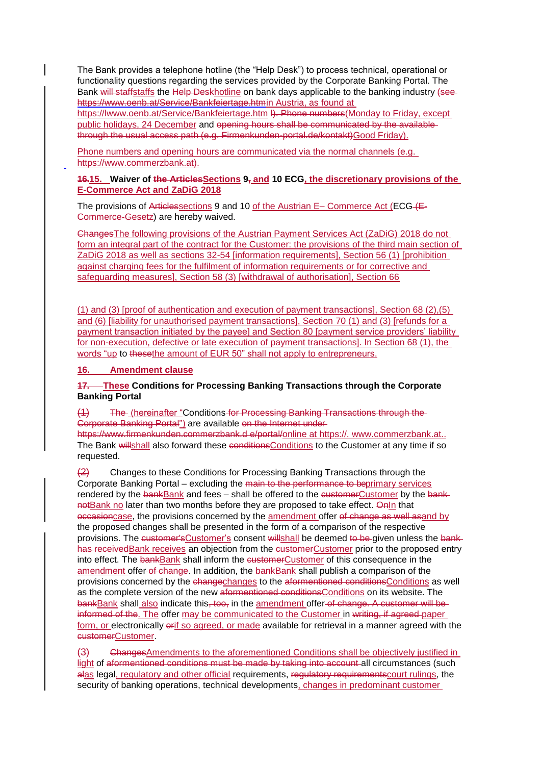The Bank provides a telephone hotline (the "Help Desk") to process technical, operational or functionality questions regarding the services provided by the Corporate Banking Portal. The Bank will staffstaffs the Help Deskhotline on bank days applicable to the banking industry (seehttps://www.oenb.at/Service/Bankfeiertage.htmin Austria, as found at

https:/[/lwww.oenb.at/Service/Bankfeiertage.htm](http://www.oenb.at/Service/Bankfeiertage.html) I). Phone numbers(Monday to Friday, except public holidays, 24 December and opening hours shall be communicated by the available through the usual access path (e.g. Firmenkunden-portal.de/kontakt)Good Friday).

Phone numbers and opening hours are communicated via the normal channels (e.g. https://www.commerzbank.at).

### **16.15. Waiver of the ArticlesSections 9, and 10 ECG, the discretionary provisions of the E-Commerce Act and ZaDiG 2018**

The provisions of Articlessections 9 and 10 of the Austrian E– Commerce Act (ECG- $f_{\text{E}}$ -Commerce-Gesetz) are hereby waived.

ChangesThe following provisions of the Austrian Payment Services Act (ZaDiG) 2018 do not form an integral part of the contract for the Customer: the provisions of the third main section of ZaDiG 2018 as well as sections 32-54 [information requirements], Section 56 (1) [prohibition against charging fees for the fulfilment of information requirements or for corrective and safeguarding measures], Section 58 (3) [withdrawal of authorisation], Section 66

(1) and (3) [proof of authentication and execution of payment transactions], Section 68 (2),(5) and (6) [liability for unauthorised payment transactions], Section 70 (1) and (3) [refunds for a payment transaction initiated by the payee] and Section 80 [payment service providers' liability for non-execution, defective or late execution of payment transactions]. In Section 68 (1), the words "up to thesethe amount of EUR 50" shall not apply to entrepreneurs.

**16. Amendment clause**

### **17. These Conditions for Processing Banking Transactions through the Corporate Banking Portal**

(1) The (hereinafter "Conditions for Processing Banking Transactions through the Corporate Banking Portal") are available on the Internet under

https://www.firmenkunden.commerzbank.d e/portal/online at https:/[/. www.commerzbank.at..](http://www.commerzbank.at/) The Bank willshall also forward these conditionsConditions to the Customer at any time if so requested.

 $\left( \frac{2}{2} \right)$  Changes to these Conditions for Processing Banking Transactions through the Corporate Banking Portal – excluding the main to the performance to beprimary services rendered by the bankBank and fees – shall be offered to the customerCustomer by the banknotBank no later than two months before they are proposed to take effect. Onln that occasioncase, the provisions concerned by the amendment offer of change as well asand by the proposed changes shall be presented in the form of a comparison of the respective provisions. The customer's Customer's consent willshall be deemed to be given unless the bankhas receivedBank receives an objection from the customerCustomer prior to the proposed entry into effect. The bankBank shall inform the customerCustomer of this consequence in the amendment offer-of change. In addition, the bankBank shall publish a comparison of the provisions concerned by the changechanges to the aformentioned conditionsConditions as well as the complete version of the new aformentioned conditionsConditions on its website. The bankBank shall also indicate this, too, in the amendment offer of change. A customer will be informed of the. The offer may be communicated to the Customer in writing, if agreed-paper form, or electronically erif so agreed, or made available for retrieval in a manner agreed with the customerCustomer.

(3) ChangesAmendments to the aforementioned Conditions shall be objectively justified in light of aformentioned conditions must be made by taking into account all circumstances (such alas legal, regulatory and other official requirements, requistory requirements court rulings, the security of banking operations, technical developments, changes in predominant customer